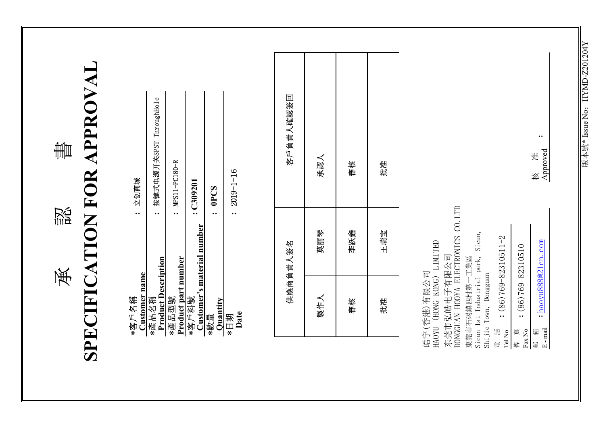**SPECIFICATION FOR APPROVAL SPECIFICATION FOR APPROVAL** 晝 w<br>111日 承

| 立创商城                          | 按键式电源开关SPST ThroughHole             | : MPS11-PC180-R                     | : C309201                  |                        | $2019 - 1 - 16$ |
|-------------------------------|-------------------------------------|-------------------------------------|----------------------------|------------------------|-----------------|
|                               |                                     |                                     | Customer's material number | : OPCS                 |                 |
| <b>Customer</b> name<br>*咨厂名稱 | <b>Product Description</b><br>*產品名稱 | <b>Product part number</b><br>*產品型號 | *客戶料號                      | <b>Ouantity</b><br>*數量 | Date<br>*日期     |

|     | 供應商負責人簽名 |     | 客戶負責人確認簽回 |
|-----|----------|-----|-----------|
| 製作人 | 莫丽琴      | 承認人 |           |
| 審核  | 李跃鑫      | 審核  |           |
| 批准  | 王瑞宝      | 批准  |           |

核<br>Approved E - mail **Construction Construction** Approved 䛉ㆅ Ḍ ޚ 东莞市弘皓电子有限公司<br>DONGGUAN HOOYA ELECTRONICS CO.LTD DONGGUAN HOOYA ELECTRONICS CO.LTD Sicun 1st Industrial park, Sicun,<br>Shijie Town, Dongguan Sicun 1st Industrial park, Sicun,  $(86)769 - 82310511 - 2$ 皓宇(香港)有限公司<br>HAOYU (HONG KONG) LIMITED HAOYU (HONG KONG) LIMITED haoyu888@21cn.com  $(86)769 - 82310510$ 東莞市石碣鎮四村第一工業區 东莞市的名字 東莞市石碣鎮四村第一工業區 皓宇(香港)有限公司 Shijie Town, Dongguan **: : :** Tel No  $\mathbb{E}\cdot\text{mail}$ 制<br>电话 Fax No 箱 ⳳڇ 靊

**:**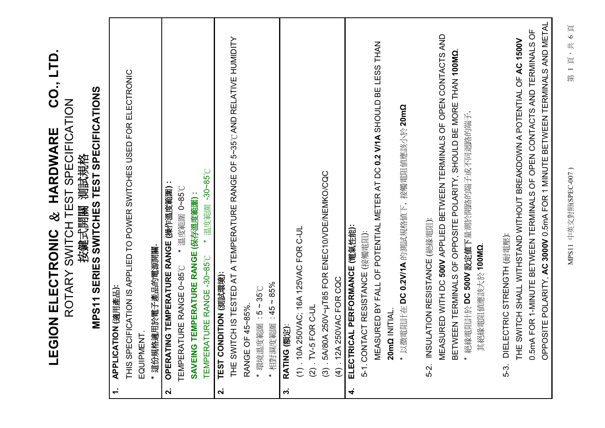|                    | CO., LTD<br>MPS11 SERIES SWITCHES TEST SPECIFICATIONS<br>ROTARY SWITCH TEST SPECIFICATION<br><b>HARDWARE</b><br>按鍵式開關 測試規格<br>8<br>EGION ELECTRONIC<br>:( 亞) NOIL YOI TALLY                                                                                        |
|--------------------|--------------------------------------------------------------------------------------------------------------------------------------------------------------------------------------------------------------------------------------------------------------------|
|                    | THIS SPECIFICATION IS APPLIED TO POWER SWITCHES USED FOR ELECTRONIC<br>* 這份規格適用於電子產品的電源開關.<br>EQUIPMENT.                                                                                                                                                           |
| $\mathbf{a}$       | OPERATING TEMPERATURE RANGE (操作溫度範圍)                                                                                                                                                                                                                               |
|                    | $-30 - 85$ °C<br>* 溫度範圍 0~85°C<br>SAVEING TEMPERATURE RANGE (保存溫度範圍) :<br>* 溫度範圍<br>TEMPERATURE RANGE -30~85°C<br>TURE RANGE 0~85°C<br><b>TEMPERAT</b>                                                                                                             |
| $\dot{\mathbf{z}}$ | TEST CONDITION (測試環境):                                                                                                                                                                                                                                             |
|                    | THE SWITCH IS TESTED AT A TEMPERATURE RANGE OF 5~35°C AND RELATIVE HUMIDITY                                                                                                                                                                                        |
|                    | * 環境溫度範圍: 5~35°C<br>RANGE OF 45~85%.                                                                                                                                                                                                                               |
|                    | 相對濕度範圍: 45~85%<br>$\star$                                                                                                                                                                                                                                          |
| $\dot{\mathbf{c}}$ | RATING (額定):                                                                                                                                                                                                                                                       |
|                    | (1) .10A 250VAC; 16A 125VAC FOR C-UL                                                                                                                                                                                                                               |
|                    | $(2)$ . TV-5 FOR C-UL                                                                                                                                                                                                                                              |
|                    | .5A/80A 250V~µT85 FOR ENEC10/VDE/NEMKO/CQC<br>(4) .12A 250VAC FOR CQC<br>$\widehat{\mathcal{O}}$                                                                                                                                                                   |
| 4                  | ELECTRICAL PERFORMANCE (電氣性能):                                                                                                                                                                                                                                     |
|                    | 5-1. CONTACT RESISTANCE (接觸電阻):                                                                                                                                                                                                                                    |
|                    | MEASURED BY FALL OF POTENTIAL METER AT DC 0.2 V/1A SHOULD BE LESS THAN                                                                                                                                                                                             |
|                    | 20mΩ INITIAL                                                                                                                                                                                                                                                       |
|                    | *以微電阻計在 DC 0.2V/1A 的測試規格值下,接觸電阻值應該小於 20mΩ                                                                                                                                                                                                                          |
|                    | INSULATION RESISTANCE (絕緣電阻):<br>5-2.                                                                                                                                                                                                                              |
|                    | MEASURED WITH DC 500V APPLIED BETWEEN TERMINALS OF OPEN CONTACTS AND<br>BETWEEN TERMINALS OF OPPOSITE POLARITY, SHOULD BE MORE THAN 100MO                                                                                                                          |
|                    | * 絕緣電阻計於 DC 500V 設定值下量測於開路的端子或不同迴路的端子,<br>其絕緣電阻值應該大於100MΩ                                                                                                                                                                                                          |
|                    |                                                                                                                                                                                                                                                                    |
|                    | OPPOSITE POLARITY, AC 3000V 0.5mA FOR 1 MINUTE BETWEEN TERMINALS AND METAL<br>0.5mA FOR 1-MINUTE BETWEEN TERMINALS OF OPEN CONTACTS AND TERMINALS OF<br>THE SWITCH SHALL WITHSTAND WITHOUT BREAKDOWN A POTENTIAL OF AC 1500V<br>DIELECTRIC STRENGTH (耐電壓):<br>5-3. |
|                    |                                                                                                                                                                                                                                                                    |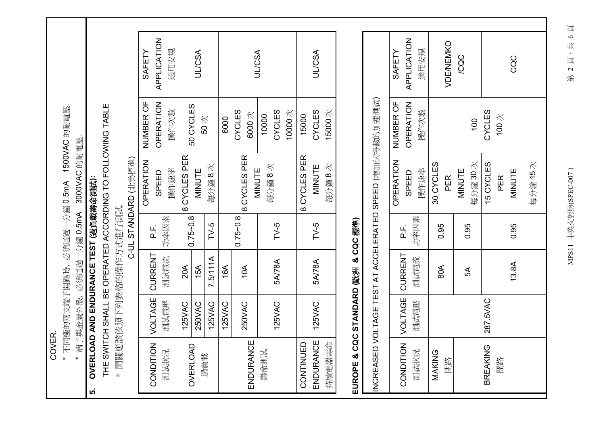COVER.

1500VAC 的耐電壓. -分鐘 0.5mA \*不同極的兩支端子開路時,必須通過一

3000VAC 的耐電壓. \*端子與金屬外殼,必須通過一分鐘 0.5mA

## OVERLOAD AND ENDURANCE TEST (過負載壽命測試):

ທ່

THE SWITCH SHALL BE OPERATED ACCORDING TO FOLLOWING TABLE

\* 開關應該依照下列表格的操作方式進行測試.

| 苦唐清                                             |  |
|-------------------------------------------------|--|
| ים<br>יישוב<br>$\overline{\phantom{a}}$<br>こくとく |  |
| J<br>Ó                                          |  |

| CONDITION VOLTAGE CURRENT |               |          |              |              |                  |               |
|---------------------------|---------------|----------|--------------|--------------|------------------|---------------|
|                           |               |          |              | OPERATION    | NUMBER OF        | SAFETY        |
|                           |               |          | ۲.<br>م      | SPEED        | <b>OPERATION</b> | APPLICATION   |
| 測試状況                      | 測試電壓          | 測試電流     | 功率因素         | 操作速率         | 操作次數             | 適用安規          |
|                           | <b>125VAC</b> | 20A      | $0.75 - 0.8$ | 8 CYCLES PER |                  |               |
| <b>OVERLOAD</b><br>週負載    | 250VAC        | 15A      |              | MINUTE       | 50 CYCLES<br>50次 | <b>JL/CSA</b> |
|                           | 125VAC        | 7.5/111A | $TV-5$       | 每分鐘8次        |                  |               |
|                           | 125VAC        | 16A      |              |              | 6000             |               |
|                           | 250VAC        | 10A      | $0.75 - 0.8$ | 8 CYCLES PER | CYCLES           |               |
| ENDURANCE                 |               |          |              | MINUTE       | 6000次            | <b>JL/CSA</b> |
| 壽命測試                      |               |          |              | 每分鐘8次        | 10000            |               |
|                           | <b>125VAC</b> | 5A/78A   | $TV-5$       |              | CYCLES           |               |
|                           |               |          |              |              | 10000次           |               |
| CONTINUED                 |               |          |              | 8 CYCLES PER | 15000            |               |
| ENDURANCE                 | 125VAC        | 5A/78A   | $TV-5$       | MINUTE       | CYCLES           | <b>JL/CSA</b> |
| 持續電器壽命                    |               |          |              | 每分鐘8次        | 15000次           |               |

## EUROPE & CQC STANDARD (歐洲 & CQC 標準)<br>[

|                                                         | <b>APPLICATION</b><br>SAFETY  | 適用安規 |           | VDE/NEMKO | /CQC   |         |                 |                              | CQC           |         |
|---------------------------------------------------------|-------------------------------|------|-----------|-----------|--------|---------|-----------------|------------------------------|---------------|---------|
|                                                         | NUMBER OF<br><b>OPERATION</b> | 操作次數 |           |           |        | 100     | CYCLES          | 100 $\overline{\mathcal{K}}$ |               |         |
| INCREASED VOLTAGE TEST AT ACCELERATED SPEED (增加伏特數的加速說) | OPERATION<br>SPEED            | 操作速率 | 30 CYCLES | PER<br>   | MINUTE | 每分鐘 30次 | 15 CYCLES       | PER                          | <b>MINUTE</b> | 每分鐘 15次 |
|                                                         | ۲.<br>م                       | 功率因素 | 0.95      |           | 0.95   |         |                 |                              | 0.95          |         |
|                                                         |                               | 測試電流 | 80A       |           | 5А     |         |                 |                              | 13.8A         |         |
|                                                         |                               | 測試電壓 |           |           |        |         | 287.5VAC        |                              |               |         |
|                                                         | CONDITION   VOLTAGE   CURRENT | 測試状況 | MAKING    | 閉路        |        |         | <b>BREAKING</b> | 開路                           |               |         |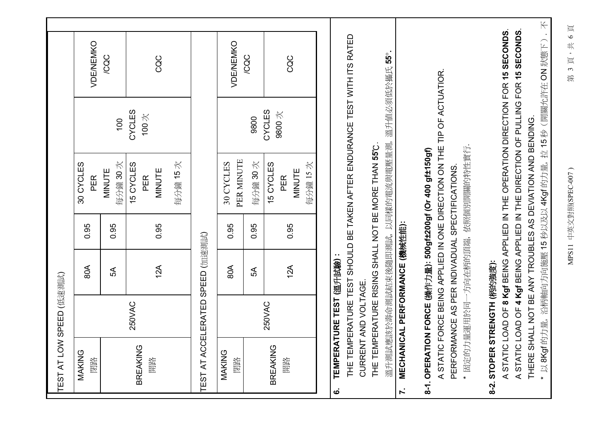| TEST AT LOW                      | SPEED (低速測試)             |                                |      |                                                                                    |                 |                                                                                  |  |
|----------------------------------|--------------------------|--------------------------------|------|------------------------------------------------------------------------------------|-----------------|----------------------------------------------------------------------------------|--|
| MAKING<br>閉路                     |                          | 80A                            | 0.95 | 30 CYCLES<br>PER                                                                   |                 | <b>VDE/NEMKO</b>                                                                 |  |
|                                  |                          | 5A                             | 0.95 | 每分鐘30次<br>MINUTE                                                                   | 100             | <b>CQC</b>                                                                       |  |
| <b>BREAKING</b><br>開路            | 250VAC                   | 12A                            | 0.95 | 15 CYCLES<br>MINUTE<br>PER                                                         | CYCLES<br>100次  | CQC                                                                              |  |
|                                  |                          |                                |      | 每分鐘15次                                                                             |                 |                                                                                  |  |
| TEST AT ACCELERATED SPEED (加速測試) |                          |                                |      |                                                                                    |                 |                                                                                  |  |
| MAKING<br>閉路                     |                          | 80A                            | 0.95 | PER MINUTE<br>30 CYCLES                                                            |                 | VDE/NEMKO                                                                        |  |
|                                  |                          | 5A                             | 0.95 | 每分鐘 30次                                                                            | 9800            | /CQC                                                                             |  |
| <b>BREAKING</b><br>開路            | 250VAC                   | 12A                            | 0.95 | 每分鐘15次<br>15 CYCLES<br>MINUTE<br>PER                                               | CYCLES<br>9800次 | CQC                                                                              |  |
|                                  |                          |                                |      |                                                                                    |                 |                                                                                  |  |
| THE TEMP<br>ق                    | TEMPERATURE TEST (溫升試驗): |                                |      |                                                                                    |                 | ERATURE TEST SHOULD BE TAKEN AFTER ENDURANCE TEST WITH ITS RATED                 |  |
| THE TEMP                         | CURRENT AND VOLTAGE      |                                |      | ERATURE RISING SHALL NOT BE MORE THAN 55°C                                         |                 |                                                                                  |  |
| $\mathbf{r}$                     |                          |                                |      | 溫升測試應該於壽命測試結束後隨即測試,以同樣的電流與電壓量測,溫升值必須低於攝氏55°                                        |                 |                                                                                  |  |
|                                  |                          | MECHANICAL PERFORMANCE (機械性能): |      | 8-1. OPERATION FORCE (操作力量): 500gf±200gf (Or 400 gf±150gf)                         |                 |                                                                                  |  |
|                                  |                          |                                |      | A STATIC FORCE BEING APPLIED IN ONE DIRECTION ON THE TIP OF ACTUATIOR.             |                 |                                                                                  |  |
|                                  |                          |                                |      | * 固定的力量運用於同一方向在柄的頂端, 依照個別開關的特性實行.<br>PERFORMANCE AS PER INDIVADUAL SPECTIFICATIONS |                 |                                                                                  |  |
| 8-2. STOPER STRENGTH (柄的強度):     |                          |                                |      |                                                                                    |                 |                                                                                  |  |
|                                  |                          |                                |      |                                                                                    |                 | A STATIC LOAD OF 8 Kgf BEING APPLIED IN THE OPERATION DIRECTION FOR 15 SECONDS.  |  |
|                                  |                          |                                |      | THERE SHALL NOT BE ANY TROUBLES AS DEVIATION AND BENDING.                          |                 | A STATIC LOAD OF 4 Kgf BEING APPLIED IN THE DIRECTION OF PULLING FOR 15 SECONDS. |  |
|                                  |                          |                                |      |                                                                                    |                 | *以8Kgf的力量,沿柄軸向方向施壓15秒以及以4Kgf的力量,拉15秒(開關允許在ON狀態下). 不                              |  |

MPS11 中英文對照(SPEC-007)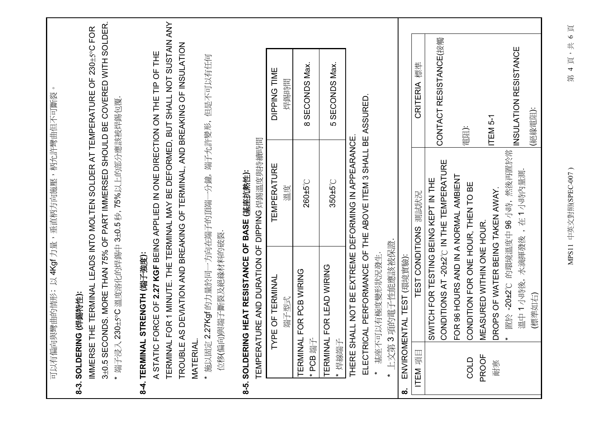|                                              | 可以有偏向與彎曲的情形;以4Kgf力量,垂直柄方向施壓,柄允許彎曲但不可斷裂                                                                            |                                                                    | $\circ$                                                                                                                                             |
|----------------------------------------------|-------------------------------------------------------------------------------------------------------------------|--------------------------------------------------------------------|-----------------------------------------------------------------------------------------------------------------------------------------------------|
| "端子浸入<br><b>IMMERSE</b>                      | 8-3. SOLDERING (焊錫特性):                                                                                            | 230±5°C溫度溶化的焊錫中3±0.5秒,75%以上的部分應該被焊錫包覆                              | 3±0.5 SECONDS. MORE THAN 75% OF PART IMMERSED SHOULD BE COVERED WITH SOLDER.<br>THE TERMINAL LEADS INTO MOLTEN SOLDER AT TEMPERATURE OF 230±5°C FOR |
| <b>MATERIAL</b><br><b>TROUBLE</b><br>ASTATIC | 8-4. TERMINAL STRENGTH (端子強度):                                                                                    | FORCE OF 2.27 KGF BEING APPLIED IN ONE DIRECTION ON THE TIP OF THE | TERMINAL FOR 1 MINUTE. THE TERMINAL MAY BE DEFORMED, BUT SHALL NOT SUSTAIN ANY<br>AS DEVIATION AND BREAKING OF TERMINAL, AND BREAKING OF INSULATION |
|                                              | *施以固定 2.27Kgf 的力量於同一方向在端子的頂端一分鐘, 端子允許變形, 但是不可以有任何<br>位移(偏向)與端子斷裂及絕緣材料的破裂                                          |                                                                    |                                                                                                                                                     |
|                                              | TEMPERATURE AND DURATION OF DIPPING 焊錫溫度與持續時間<br>8-5. SOLDERING HEAT RESISTANCE OF BASE (基座抗熱性):                  |                                                                    |                                                                                                                                                     |
|                                              | PE OF TERMINAL<br>端子型式<br>≿                                                                                       | <b>TEMPERATURE</b><br>溫度                                           | DIPPING TIME<br>焊錫時間                                                                                                                                |
| * PCB 端子                                     | TERMINAL FOR PCB WIRING                                                                                           | 260±5°C                                                            | SECONDS Max.<br>$\infty$                                                                                                                            |
| <b>TERMINAI</b><br>* 焊線端子                    | - FOR LEAD WIRING                                                                                                 | 350±5°C                                                            | SECONDS Max.<br>ယ                                                                                                                                   |
|                                              | ELECTRICAL PERFORMANCE OF THE ABOVE ITEM 3 SHALL BE ASSURED<br>THERE SHALL NOT BE EXTREME DEFORMING IN APPEARANCE |                                                                    |                                                                                                                                                     |
| 上文第<br>$\star$                               | 3項的電子性能應該被保證.<br>基座不可以有極度變形狀況發生                                                                                   |                                                                    |                                                                                                                                                     |
| ထံ                                           | ENVIROMENTAL TEST (環境實驗):                                                                                         |                                                                    |                                                                                                                                                     |
| ITEM 項目                                      |                                                                                                                   | TEST CONDITIONS 測試状況                                               | <b>CRITERIA</b> 標準                                                                                                                                  |
|                                              | CONDITIONS AT -20±2°C IN THE TEMPERATURE<br>SWITCH FOR TESTING BEING KEPT IN THE                                  |                                                                    | CONTACT RESISTANCE(接觸                                                                                                                               |
| COLD                                         | FOR 96 HOURS AND IN A NORMAL AMBIENT<br>CONDITION FOR ONE HOUR, THEN TO BE                                        |                                                                    | 電阻):                                                                                                                                                |
| <b>PROOF</b><br>耐寒                           | DROPS OF WATER BEING TAKEN AWAY.<br>MEASURED WITHIN ONE HOUR.                                                     |                                                                    | ITEM <sub>5-1</sub>                                                                                                                                 |
|                                              | 溫中1小時後,水滴揮發後,在1小時內量測.<br>$\star$                                                                                  | 置於-20±2°C 的環境溫度中 96 小時, 然後再置於常                                     | INSULATION RESISTANCE                                                                                                                               |
|                                              | (標準如右)                                                                                                            |                                                                    | (絕緣電阻):                                                                                                                                             |
|                                              |                                                                                                                   |                                                                    |                                                                                                                                                     |

MPS11 中英文對照(SPEC-007)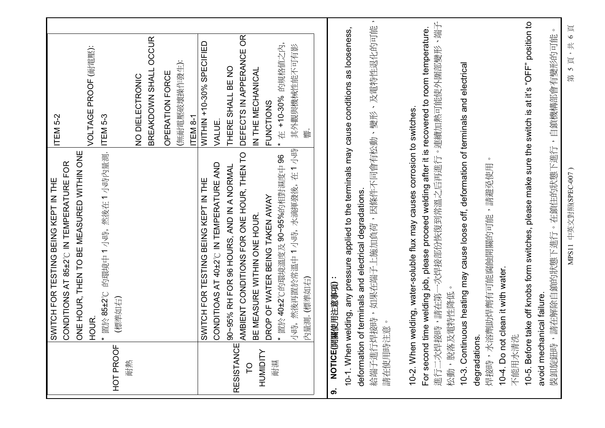|                       | CONDITIONS AT 85±2°C IN TEMPERATURE FOR<br>SWITCH FOR TESTING BEING KEPT IN THE                                                         | ITEM <sub>5-2</sub>                          |
|-----------------------|-----------------------------------------------------------------------------------------------------------------------------------------|----------------------------------------------|
|                       | ONE HOUR, THEN TO BE MEASURED WITHIN ONE<br>HOUR.                                                                                       | VOLTAGE PROOF (耐電壓):                         |
| HOT PROOF<br>信樊       | 的環境中1小時,然後在1小時內量測.<br>置於 85±2°C<br>(標準如右)                                                                                               | ITEM <sub>5-3</sub>                          |
|                       |                                                                                                                                         | BREAKDOWN SHALL OCCUR<br>NO DIELECTRONIC     |
|                       |                                                                                                                                         | (無耐電壓破壞操作發生):<br>OPERATION FORCE<br>ITEM 8-1 |
|                       | CONDITIOAS AT 40±2°C IN TEMPERATURE AND<br>SWITCH FOR TESTING BEING KEPT IN THE                                                         | WITHIN +10-30% SPECIFIED<br>VALUE            |
| <b>RESISTANCE</b>     | 90~95% RH FOR 96 HOURS, AND IN A NORMAL                                                                                                 | THERE SHALL BE NO                            |
| p                     | AMBIENT CONDITIONS FOR ONE HOUR, THEN TO<br><b>3E MEASURE WITHIN ONE HOUR</b>                                                           | DEFECTS IN APPERANCE OR<br>IN THE MECHANICAL |
| <b>HUMIDITY</b><br>耐濕 | DROP OF WATER BEING TAKEN AWAY                                                                                                          | <b>FUNCTIONS</b>                             |
|                       | * 置於 40±2℃的環境溫度及 90~95%的相對濕度中 96                                                                                                        | 的規格值之內,<br>在 +10-30%<br>$\star$              |
|                       | 小時, 然後再置於常溫中1小時, 水滴揮發後, 在1小時<br>为量測. (標準如右)                                                                                             | 其外觀與機械性能不可有影                                 |
| တ                     | NOTICE(開關使用注意事項):                                                                                                                       |                                              |
|                       | 10-1. When welding, any pressure applied to the terminals may cause conditions as looseness,                                            |                                              |
| deformation           | of terminals and electrical degradations.                                                                                               |                                              |
| 請在使用時注意               | 給端子進行焊接時,如果在端子上施加負荷,因條件不同會有松動、變形、及電特性退化的可能                                                                                              | $\hat{\phantom{a}}$                          |
| 10-2. When            | welding, water-soluble flux may causes corrosion to switches.                                                                           |                                              |
| For second            | -次焊接部份恢復到常溫之后再進行。連續加熱可能使外圍部變形、端子<br>time welding job, please proceed welding after it is recovered to room temperature.<br>進行二次焊接時,請在第- |                                              |
|                       | 松動, 脫落及電特性降低                                                                                                                            |                                              |
|                       | 10-3. Continuous heating may cause loose off, deformation of terminals and electrical                                                   |                                              |
| degradations          | 焊接時,水溶劑助焊劑有可能腐蝕開關的可能,請避免使用                                                                                                              |                                              |
|                       | 10-4. Do not clean it with water.                                                                                                       |                                              |
| 不能用水清洗                |                                                                                                                                         |                                              |
| 10-5. Before          | take off knobs form switches, please make sure the switch is at it's "OFF" position to                                                  |                                              |
| 装卸旋鈕時                 | ,請在解除自鎖的狀態下進行。在鎖住的狀態下進行,自鎖機構部會有變形的可能<br>avoid mechanical failure                                                                        | $\circ$                                      |
|                       |                                                                                                                                         |                                              |

MPS11 中英文對照(SPEC-007)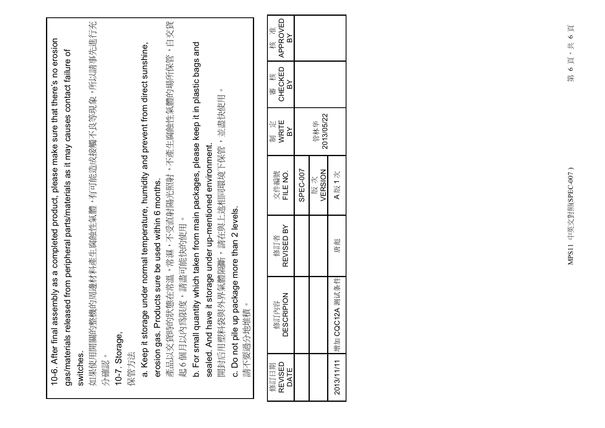|                         | 10-6. After final assembly as a completed product, please make sure that there's no erosion |                   |                  |                       |                                              |                          |
|-------------------------|---------------------------------------------------------------------------------------------|-------------------|------------------|-----------------------|----------------------------------------------|--------------------------|
|                         | gas/materials released from peripheral parts/materials as it may causes contact failure of  |                   |                  |                       |                                              |                          |
| switches.               |                                                                                             |                   |                  |                       |                                              |                          |
|                         | 如果使用開關的整機的周邊材料產生腐蝕性氣體,有可能造成接觸不良等現象,所以請事先進行充                                                 |                   |                  |                       |                                              |                          |
| 分確認。                    |                                                                                             |                   |                  |                       |                                              |                          |
| 10-7. Storage           | ດຈົ                                                                                         |                   |                  |                       |                                              |                          |
| 保管方法                    |                                                                                             |                   |                  |                       |                                              |                          |
| a. Keep it:             | storage under normal temperature, humidity and prevent from direct sunshine,                |                   |                  |                       |                                              |                          |
|                         | erosion gas. Products sure be used within 6 months.                                         |                   |                  |                       |                                              |                          |
|                         | 產品以交貨時的狀態在常溫,常濕,不受直射陽光照射,不產生腐蝕性氣體的場所保管,自交貨                                                  |                   |                  |                       |                                              |                          |
|                         | 起 6 個月以內為限度,請盡可能快的使用。                                                                       |                   |                  |                       |                                              |                          |
| b. For sma              | Ill quantity which taken from main packages, please keep it in plastic bags and             |                   |                  |                       |                                              |                          |
|                         | sealed. And have it storage under up-mentioned environment.                                 |                   |                  |                       |                                              |                          |
|                         | 開封后用塑料袋與外界氣體隔斷,請在與上述相同環境下保管,並盡快使用                                                           |                   |                  |                       | $\circ$                                      |                          |
|                         | c. Do not pile up package more than 2 levels.<br>請不要過分地堆積                                   |                   |                  |                       |                                              |                          |
|                         |                                                                                             |                   |                  |                       |                                              |                          |
| REVISED<br>修訂日期<br>DATE | <b>DESCRIPION</b><br>修訂內容                                                                   | REVISED BY<br>修訂者 | FILE NO.<br>文件編號 | WRITE<br>定<br>ΡX<br>制 | CHECKED<br>核<br>$\mathsf{B} \mathsf{Y}$<br>峯 | APPROVED<br>准<br>Σď<br>核 |
|                         |                                                                                             |                   | SPEC-007         |                       |                                              |                          |
|                         |                                                                                             |                   | VERSION<br>版次    | 2013/05/22<br>管林华     |                                              |                          |
| 2013/11/11 增加           | CQC12A 测试条件                                                                                 | 唐彪                | A版1次             |                       |                                              |                          |